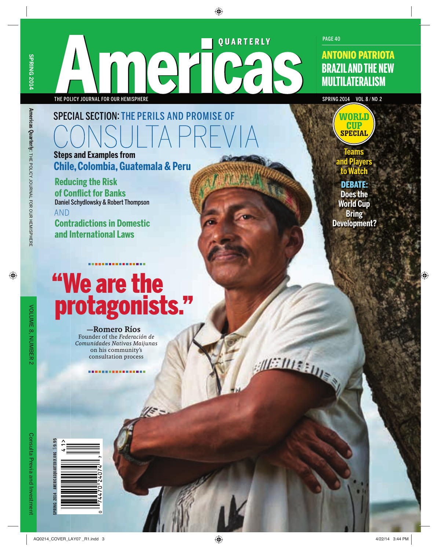**Americas Quarterly**

: THE POLICY JOURNAL FOR OUR HEMISPHERE

Americas Quarterly: THE POLICY JOURNAL FOR OUR HEMISPHERE

QUARTERLY THE POLICY JOURNAL FOR OUR HEMISPHERE SPRING 2014 VOL. 8/ NO. 2

PAGE 40

WORLD **CUP SPECIAL** 

## SPECIAL SECTION: THE PERILS AND PROMISE OF SUITAPR **Steps and Examples from**

**Chile, Colombia, Guatemala & Peru**

**Reducing the Risk of Confl ict for Banks** Daniel Schydlowsky & Robert Thompson

AND

**Contradictions in Domestic and International Laws**

# ''We are the protagonists. ''

#### —Romero Ríos

Founder of the *Federación de Comunidades Nativas Maijunas*  on his community's consultation process

. . . . . . . . . . . . .

 $\frac{1}{2}$ 

METHIC LUES

**and Players to Watch** DEBATE**: Does the World Cup Bring** 

**Development?**

**Teams** 

**T**

SPRING 2014 AMERICASQUARTERLY.ORG \$9.95

**PRING 2014** 

AMERICASOUARTERLY.ORG \$9.9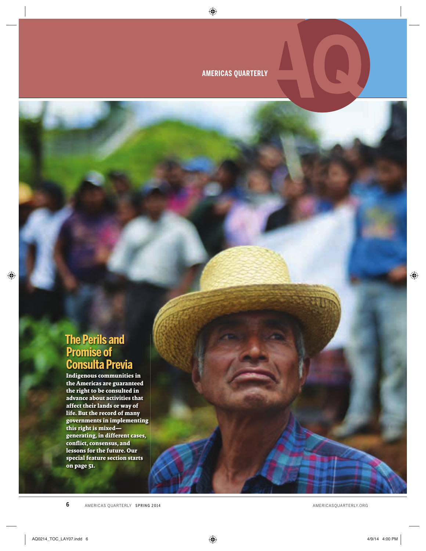**AMERICAS QUARTERLY**

## **The Perils and Promise of Consulta Previa**

**Indigenous communities in the Americas are guaranteed the right to be consulted in advance about activities that affect their lands or way of life. But the record of many governments in implementing this right is mixed generating, in different cases, confl ict, consensus, and lessons for the future. Our special feature section starts on page 51.**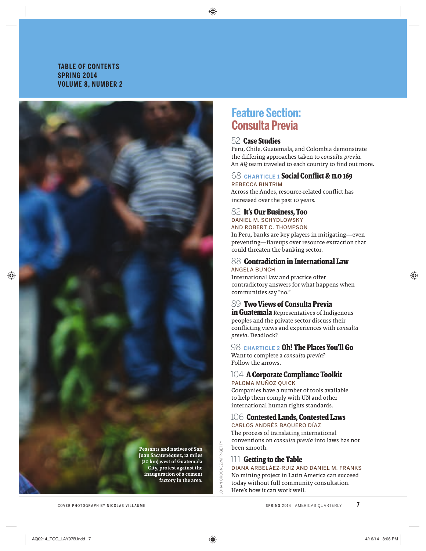## **TABLE OF CONTENTS SPRING 2014 VOLUME 8, NUMBER 2**

Peasants and natives of San Juan Sacatepéquez, 12 miles (20 km) west of Guatemala City, protest against the inauguration of a cement factory in the area.

## **Feature Section: Consulta Previa**

## 52 **Case Studies**

Peru, Chile, Guatemala, and Colombia demonstrate the differing approaches taken to *consulta previa.*  An AQ team traveled to each country to find out more.

#### 68 **CHARTICLE 1 Social Conflict & ILO 169** REBECCA BINTRIM

Across the Andes, resource-related conflict has increased over the past 10 years.

## 82 **It's Our Business, Too**

DANIEL M. SCHYDLOWSKY AND ROBERT C. THOMPSON

In Peru, banks are key players in mitigating—even preventing—flareups over resource extraction that could threaten the banking sector.

### 88 **Contradiction in International Law** ANGELA BUNCH

International law and practice offer contradictory answers for what happens when communities say "no."

## 89 **Two Views of Consulta Previa**

**in Guatemala** Representatives of Indigenous peoples and the private sector discuss their confl icting views and experiences with *consulta previa*. Deadlock?

## 98 **CHARTICLE 2 Oh! The Places You'll Go**

Want to complete a *consulta previa*? Follow the arrows.

### 104 **A Corporate Compliance Toolkit** PALOMA MUÑOZ QUICK

Companies have a number of tools available to help them comply with UN and other international human rights standards.

#### 106 **Contested Lands, Contested Laws** CARLOS ANDRÉS BAQUERO DÍAZ

The process of translating international conventions on *consulta previa* into laws has not been smooth.

## 111 **Getting to the Table**

HAN ORDONEZ/AFP/GETTY JOHAN ORDONEZ/AFP/GETTY

DIANA ARBELÁEZ-RUIZ AND DANIEL M. FRANKS No mining project in Latin America can succeed today without full community consultation. Here's how it can work well.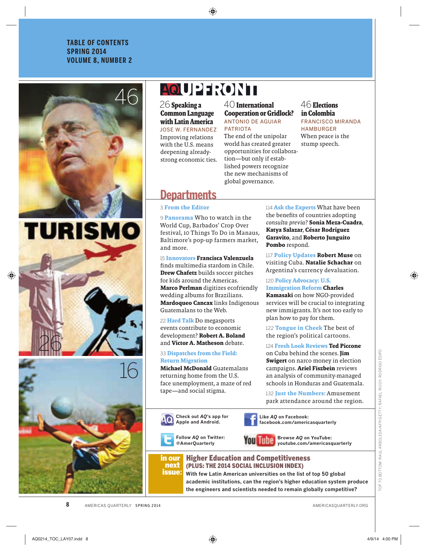## **TABLE OF CONTENTS SPRING 2014 VOLUME 8, NUMBER 2**





## **AQUERTONI**

26**Speaking a Common Language with Latin America** JOSE W. FERNANDEZ Improving relations with the U.S. means deepening alreadystrong economic ties. 40**International Cooperation or Gridlock?** ANTONIO DE AGUIAR PATRIOTA The end of the unipolar world has created greater

opportunities for collaboration—but only if established powers recognize the new mechanisms of global governance.

## 46**Elections in Colombia**

FRANCISCO MIRANDA HAMBURGER When peace is the stump speech.

## **Departments**

### 3 **From the Editor**

9 **Panorama** Who to watch in the World Cup, Barbados' Crop Over festival, 10 Things To Do in Manaus, Baltimore's pop-up farmers market, and more.

15 **Innovators Francisca Valenzuela** finds multimedia stardom in Chile. **Drew Chafetz** builds soccer pitches for kids around the Americas. **Marco Perlman** digitizes ecofriendly wedding albums for Brazilians. **Mardoqueo Cancax** links Indigenous Guatemalans to the Web.

22 **Hard Talk** Do megasports events contribute to economic development? **Robert A. Boland**  and **Victor A. Matheson** debate.

#### 33 **Dispatches from the Field: Return Migration**

**Michael McDonald** Guatemalans returning home from the U.S. face unemployment, a maze of red tape—and social stigma.

114 **Ask the Experts** What have been the benefits of countries adopting *consulta previa*? **Sonia Meza-Cuadra**, **Katya Salazar**, **César Rodríguez Garavito**, and **Roberto Junguito Pombo** respond.

117 **Policy Updates Robert Muse** on visiting Cuba. **Natalie Schachar** on Argentina's currency devaluation.

120 **Policy Advocacy: U.S. Immigration Reform Charles Kamasaki** on how NGO-provided services will be crucial to integrating new immigrants. It's not too early to plan how to pay for them.

122 **Tongue in Cheek** The best of the region's political cartoons.

124 **Fresh Look Reviews Ted Piccone** on Cuba behind the scenes. **Jim Swigert** on narco money in election campaigns. **Ariel Fiszbein** reviews an analysis of community-managed schools in Honduras and Guatemala.

132 **Just the Numbers:** Amusement park attendance around the region.

**Check out** *AQ***'s app for Apple and Android.**

> **Follow** *AQ* **on Twitter: @AmerQuarterly**



**Like** *AQ* **on Facebook: facebook.com/americasquarterly**



**Browse** *AQ* **on YouTube: youtube.com/americasquarterly**

#### in our next issue**:** Higher Education and Competitiveness (PLUS: THE 2014 SOCIAL INCLUSION INDEX)

**With few Latin American universities on the list of top 50 global academic institutions, can the region's higher education system produce the engineers and scientists needed to remain globally competitive?**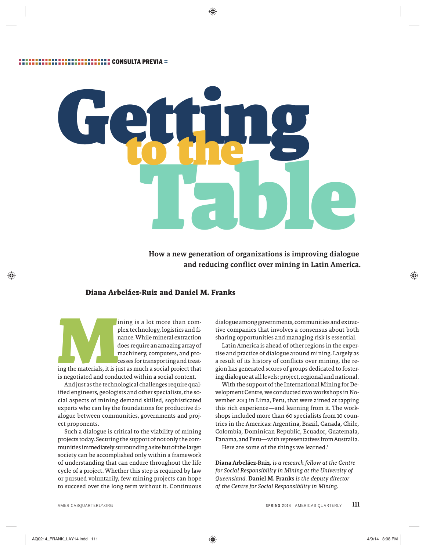

How a new generation of organizations is improving dialogue and reducing conflict over mining in Latin America.

## **Diana Arbeláez-Ruiz and Daniel M. Franks**

ining is a lot more than com-<br>plex technology, logistics and fi-<br>nance. While mineral extraction<br>does require an amazing array of<br>machinery, computers, and pro-<br>cesses for transporting and treat-<br>is negotiated and conducte plex technology, logistics and finance. While mineral extraction does require an amazing array of machinery, computers, and processes for transporting and treat-

ing the materials, it is just as much a social project that is negotiated and conducted within a social context.

And just as the technological challenges require qualified engineers, geologists and other specialists, the social aspects of mining demand skilled, sophisticated experts who can lay the foundations for productive dialogue between communities, governments and project proponents.

Such a dialogue is critical to the viability of mining projects today. Securing the support of not only the communities immediately surrounding a site but of the larger society can be accomplished only within a framework of understanding that can endure throughout the life cycle of a project. Whether this step is required by law or pursued voluntarily, few mining projects can hope to succeed over the long term without it. Continuous

dialogue among governments, communities and extractive companies that involves a consensus about both sharing opportunities and managing risk is essential.

Latin America is ahead of other regions in the expertise and practice of dialogue around mining. Largely as a result of its history of conflicts over mining, the region has generated scores of groups dedicated to fostering dialogue at all levels: project, regional and national.

With the support of the International Mining for Development Centre, we conducted two workshops in November 2013 in Lima, Peru, that were aimed at tapping this rich experience—and learning from it. The workshops included more than 60 specialists from 10 countries in the Americas: Argentina, Brazil, Canada, Chile, Colombia, Dominican Republic, Ecuador, Guatemala, Panama, and Peru—with representatives from Australia. Here are some of the things we learned.<sup>1</sup>

Diana Arbeláez-Ruiz*, is a research fellow at the Centre for Social Responsibility in Mining at the University of Queensland.* Daniel M. Franks *is the deputy director of the Centre for Social Responsibility in Mining.*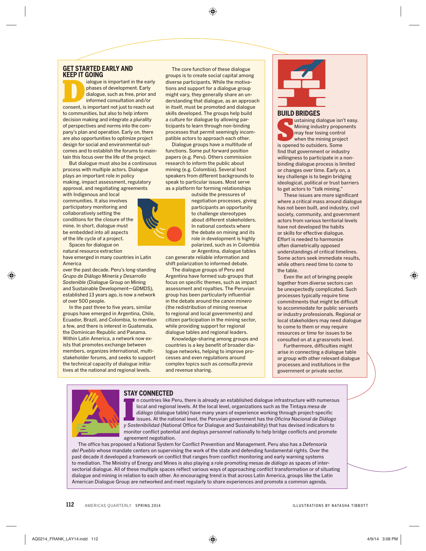## **GET STARTED EARLY AND**

**KEEP IT GOING**<br>**EXAMPLE All alogue is important in the early** Example 18 important in the early<br>
phases of development. Early<br>
dialogue, such as free, prior and<br>
informed consultation and/or<br>
consent, is important not just to reach out phases of development. Early dialogue, such as free, prior and informed consultation and/or to communities, but also to help inform decision making and integrate a plurality of perspectives and norms into the company's plan and operation. Early on, there are also opportunities to optimize project design for social and environmental outcomes and to establish the forums to maintain this focus over the life of the project.

But dialogue must also be a continuous process with multiple actors. Dialogue plays an important role in policy making, impact assessment, regulatory approval, and negotiating agreements

with Indigenous and local communities. It also involves participatory monitoring and collaboratively setting the conditions for the closure of the mine. In short, dialogue must be embedded into all aspects of the life cycle of a project.

Spaces for dialogue on natural resource extraction

have emerged in many countries in Latin America

over the past decade. Peru's long-standing *Grupo de Diálogo Minería y Desarrollo Sostenible* (Dialogue Group on Mining and Sustainable Development—GDMDS), established 13 years ago, is now a network of over 500 people.

In the past three to five years, similar groups have emerged in Argentina, Chile, Ecuador, Brazil, and Colombia, to mention a few, and there is interest in Guatemala, the Dominican Republic and Panama. Within Latin America, a network now exists that promotes exchange between members, organizes international, multistakeholder forums, and seeks to support the technical capacity of dialogue initiatives at the national and regional levels.

The core function of these dialogue groups is to create social capital among diverse participants. While the motivations and support for a dialogue group might vary, they generally share an understanding that dialogue, as an approach in itself, must be promoted and dialogue skills developed. The groups help build a culture for dialogue by allowing participants to learn through non-binding processes that permit seemingly incompatible actors to approach each other.

Dialogue groups have a multitude of functions. Some put forward position papers (e.g. Peru). Others commission research to inform the public about mining (e.g. Colombia). Several host speakers from different backgrounds to speak to particular issues. Most serve as a platform for forming relationships



outside the pressures of negotiation processes, giving participants an opportunity to challenge stereotypes about different stakeholders. In national contexts where the debate on mining and its role in development is highly polarized, such as in Colombia or Argentina, dialogue tables

can generate reliable information and shift polarization to informed debate.

The dialogue groups of Peru and Argentina have formed sub-groups that focus on specific themes, such as impact assessment and royalties. The Peruvian group has been particularly influential in the debate around the *canon minero* (the redistribution of mining revenue to regional and local governments) and citizen participation in the mining sector, while providing support for regional dialogue tables and regional leaders.

Knowledge-sharing among groups and countries is a key benefit of broader dialogue networks, helping to improve processes and even regulations around complex topics such as *consulta previa*  and revenue sharing.



#### **BUILD BRIDGES**

ustaining dialogue isn'<br>
Mining industry propo<br>
may fear losing contro<br>
when the mining proje<br>
is opened to outsiders. Some ustaining dialogue isn't easy. Mining industry proponents may fear losing control when the mining project find that government or industry willingness to participate in a nonbinding dialogue process is limited or changes over time. Early on, a key challenge is to begin bridging ideological, political or trust barriers to get actors to "talk mining."

These issues are more significant where a critical mass around dialogue has not been built, and industry, civil society, community, and government actors from various territorial levels have not developed the habits or skills for effective dialogue. Effort is needed to harmonize often diametrically opposed understandings of critical timelines. Some actors seek immediate results, while others need time to come to the table.

Even the act of bringing people together from diverse sectors can be unexpectedly complicated. Such processes typically require time commitments that might be difficult to accommodate for public servants or industry professionals. Regional or local stakeholders may need dialogue to come to them or may require resources or time for issues to be consulted on at a grassroots level.

Furthermore, difficulties might arise in connecting a dialogue table or group with other relevant dialogue processes and institutions in the government or private sector.

#### **STAY CONNECTED**

**If a countries like Peru, there is already an established dialogue infrastructure with numerot** local and regional levels. At the local level, organizations such as the Tintaya *mesa de diálogo* (dialogue table) have ma n countries like Peru, there is already an established dialogue infrastructure with numerous local and regional levels. At the local level, organizations such as the Tintaya *mesa de*  diálogo (dialogue table) have many years of experience working through project-specific issues. At the national level, the Peruvian government has the *Oficina Nacional de Diálogo* monitor conflict potential and deploys personnel nationally to help bridge conflicts and promote agreement negotiation.

The office has proposed a National System for Conflict Prevention and Management. Peru also has a *Defensoría del Pueblo* whose mandate centers on supervising the work of the state and defending fundamental rights. Over the past decade it developed a framework on conflict that ranges from conflict monitoring and early warning systems to mediation. The Ministry of Energy and Mines is also playing a role promoting *mesas de diálogo* as spaces of intersectorial dialogue. All of these multiple spaces reflect various ways of approaching conflict transformation or of situating dialogue and mining in relation to each other. An encouraging trend is that across Latin America, groups like the Latin American Dialogue Group are networked and meet regularly to share experiences and promote a common agenda.